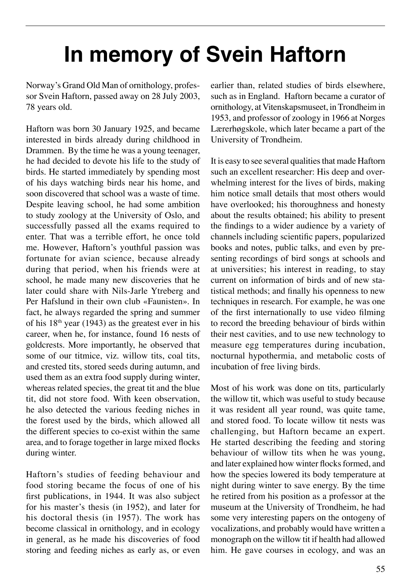## **In memory of Svein Haftorn**

Norway's Grand Old Man of ornithology, professor Svein Haftorn, passed away on 28 July 2003, 78 years old.

Haftorn was born 30 January 1925, and became interested in birds already during childhood in Drammen. By the time he was a young teenager, he had decided to devote his life to the study of birds. He started immediately by spending most of his days watching birds near his home, and soon discovered that school was a waste of time. Despite leaving school, he had some ambition to study zoology at the University of Oslo, and successfully passed all the exams required to enter. That was a terrible effort, he once told me. However, Haftorn's youthful passion was fortunate for avian science, because already during that period, when his friends were at school, he made many new discoveries that he later could share with Nils-Jarle Ytreberg and Per Hafslund in their own club «Faunisten». In fact, he always regarded the spring and summer of his  $18<sup>th</sup>$  year (1943) as the greatest ever in his career, when he, for instance, found 16 nests of goldcrests. More importantly, he observed that some of our titmice, viz. willow tits, coal tits, and crested tits, stored seeds during autumn, and used them as an extra food supply during winter, whereas related species, the great tit and the blue tit, did not store food. With keen observation, he also detected the various feeding niches in the forest used by the birds, which allowed all the different species to co-exist within the same area, and to forage together in large mixed flocks during winter.

Haftorn's studies of feeding behaviour and food storing became the focus of one of his first publications, in 1944. It was also subject for his master's thesis (in 1952), and later for his doctoral thesis (in 1957). The work has become classical in ornithology, and in ecology in general, as he made his discoveries of food storing and feeding niches as early as, or even

earlier than, related studies of birds elsewhere, such as in England. Haftorn became a curator of ornithology, at Vitenskapsmuseet, in Trondheim in 1953, and professor of zoology in 1966 at Norges Lærerhøgskole, which later became a part of the University of Trondheim.

It is easy to see several qualities that made Haftorn such an excellent researcher: His deep and overwhelming interest for the lives of birds, making him notice small details that most others would have overlooked; his thoroughness and honesty about the results obtained; his ability to present the findings to a wider audience by a variety of channels including scientific papers, popularized books and notes, public talks, and even by presenting recordings of bird songs at schools and at universities; his interest in reading, to stay current on information of birds and of new statistical methods; and finally his openness to new techniques in research. For example, he was one of the first internationally to use video filming to record the breeding behaviour of birds within their nest cavities, and to use new technology to measure egg temperatures during incubation, nocturnal hypothermia, and metabolic costs of incubation of free living birds.

Most of his work was done on tits, particularly the willow tit, which was useful to study because it was resident all year round, was quite tame, and stored food. To locate willow tit nests was challenging, but Haftorn became an expert. He started describing the feeding and storing behaviour of willow tits when he was young, and later explained how winter flocks formed, and how the species lowered its body temperature at night during winter to save energy. By the time he retired from his position as a professor at the museum at the University of Trondheim, he had some very interesting papers on the ontogeny of vocalizations, and probably would have written a monograph on the willow tit if health had allowed him. He gave courses in ecology, and was an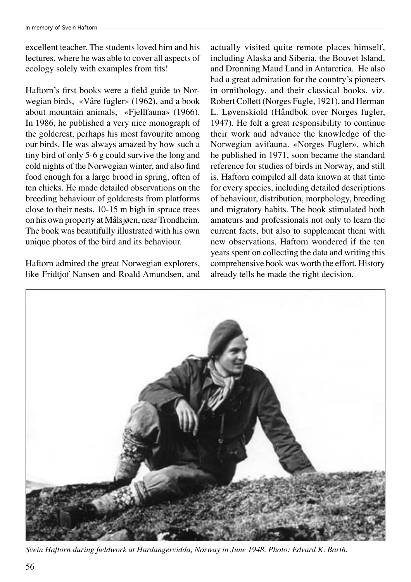excellent teacher. The students loved him and his lectures, where he was able to cover all aspects of ecology solely with examples from tits!

Haftorn's first books were a field guide to Norwegian birds, «Våre fugler» (1962), and a book about mountain animals, «Fjellfauna» (1966). In 1986, he published a very nice monograph of the goldcrest, perhaps his most favourite among our birds. He was always amazed by how such a tiny bird of only 5-6 g could survive the long and cold nights of the Norwegian winter, and also find food enough for a large brood in spring, often of ten chicks. He made detailed observations on the breeding behaviour of goldcrests from platforms close to their nests, 10-15 m high in spruce trees on his own property at Målsjøen, near Trondheim. The book was beautifully illustrated with his own unique photos of the bird and its behaviour.

Haftorn admired the great Norwegian explorers, like Fridtjof Nansen and Roald Amundsen, and

actually visited quite remote places himself, including Alaska and Siberia, the Bouvet Island, and Dronning Maud Land in Antarctica. He also had a great admiration for the country's pioneers in ornithology, and their classical books, viz. Robert Collett (Norges Fugle, 1921), and Herman L. Løvenskiold (Håndbok over Norges fugler, 1947). He felt a great responsibility to continue their work and advance the knowledge of the Norwegian avifauna. «Norges Fugler», which he published in 1971, soon became the standard reference for studies of birds in Norway, and still is. Haftorn compiled all data known at that time for every species, including detailed descriptions of behaviour, distribution, morphology, breeding and migratory habits. The book stimulated both amateurs and professionals not only to learn the current facts, but also to supplement them with new observations. Haftorn wondered if the ten years spent on collecting the data and writing this comprehensive book was worth the effort. History already tells he made the right decision.



*Svein Haftorn during fieldwork at Hardangervidda, Norway in June 1948. Photo: Edvard K. Barth.*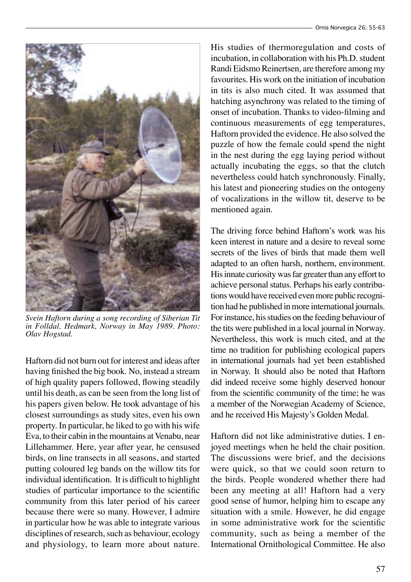

*Svein Haftorn during a song recording of Siberian Tit in Folldal, Hedmark, Norway in May 1989. Photo: Olav Hogstad.*

Haftorn did not burn out for interest and ideas after having finished the big book. No, instead a stream of high quality papers followed, flowing steadily until his death, as can be seen from the long list of his papers given below. He took advantage of his closest surroundings as study sites, even his own property. In particular, he liked to go with his wife Eva, to their cabin in the mountains at Venabu, near Lillehammer. Here, year after year, he censused birds, on line transects in all seasons, and started putting coloured leg bands on the willow tits for individual identification. It is difficult to highlight studies of particular importance to the scientific community from this later period of his career because there were so many. However, I admire in particular how he was able to integrate various disciplines of research, such as behaviour, ecology and physiology, to learn more about nature.

His studies of thermoregulation and costs of incubation, in collaboration with his Ph.D. student Randi Eidsmo Reinertsen, are therefore among my favourites. His work on the initiation of incubation in tits is also much cited. It was assumed that hatching asynchrony was related to the timing of onset of incubation. Thanks to video-filming and continuous measurements of egg temperatures, Haftorn provided the evidence. He also solved the puzzle of how the female could spend the night in the nest during the egg laying period without actually incubating the eggs, so that the clutch nevertheless could hatch synchronously. Finally, his latest and pioneering studies on the ontogeny of vocalizations in the willow tit, deserve to be mentioned again.

The driving force behind Haftorn's work was his keen interest in nature and a desire to reveal some secrets of the lives of birds that made them well adapted to an often harsh, northern, environment. His innate curiosity was far greater than any effort to achieve personal status. Perhaps his early contributions would have received even more public recognition had he published in more international journals. For instance, his studies on the feeding behaviour of the tits were published in a local journal in Norway. Nevertheless, this work is much cited, and at the time no tradition for publishing ecological papers in international journals had yet been established in Norway. It should also be noted that Haftorn did indeed receive some highly deserved honour from the scientific community of the time; he was a member of the Norwegian Academy of Science, and he received His Majesty's Golden Medal.

Haftorn did not like administrative duties. I enjoyed meetings when he held the chair position. The discussions were brief, and the decisions were quick, so that we could soon return to the birds. People wondered whether there had been any meeting at all! Haftorn had a very good sense of humor, helping him to escape any situation with a smile. However, he did engage in some administrative work for the scientific community, such as being a member of the International Ornithological Committee. He also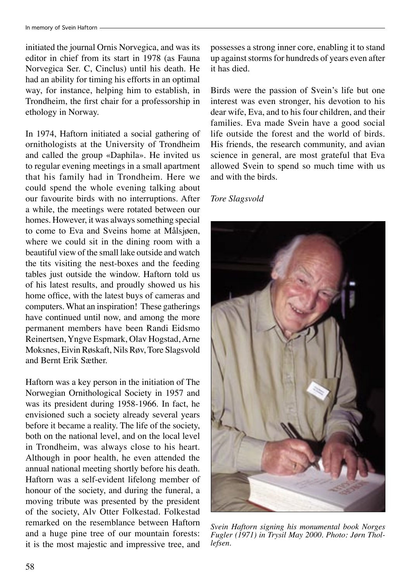initiated the journal Ornis Norvegica, and was its editor in chief from its start in 1978 (as Fauna Norvegica Ser. C, Cinclus) until his death. He had an ability for timing his efforts in an optimal way, for instance, helping him to establish, in Trondheim, the first chair for a professorship in ethology in Norway.

In 1974, Haftorn initiated a social gathering of ornithologists at the University of Trondheim and called the group «Daphila». He invited us to regular evening meetings in a small apartment that his family had in Trondheim. Here we could spend the whole evening talking about our favourite birds with no interruptions. After a while, the meetings were rotated between our homes. However, it was always something special to come to Eva and Sveins home at Målsjøen, where we could sit in the dining room with a beautiful view of the small lake outside and watch the tits visiting the nest-boxes and the feeding tables just outside the window. Haftorn told us of his latest results, and proudly showed us his home office, with the latest buys of cameras and computers. What an inspiration! These gatherings have continued until now, and among the more permanent members have been Randi Eidsmo Reinertsen, Yngve Espmark, Olav Hogstad, Arne Moksnes, Eivin Røskaft, Nils Røv, Tore Slagsvold and Bernt Erik Sæther.

Haftorn was a key person in the initiation of The Norwegian Ornithological Society in 1957 and was its president during 1958-1966. In fact, he envisioned such a society already several years before it became a reality. The life of the society, both on the national level, and on the local level in Trondheim, was always close to his heart. Although in poor health, he even attended the annual national meeting shortly before his death. Haftorn was a self-evident lifelong member of honour of the society, and during the funeral, a moving tribute was presented by the president of the society, Alv Otter Folkestad. Folkestad remarked on the resemblance between Haftorn and a huge pine tree of our mountain forests: it is the most majestic and impressive tree, and possesses a strong inner core, enabling it to stand up against storms for hundreds of years even after it has died.

Birds were the passion of Svein's life but one interest was even stronger, his devotion to his dear wife, Eva, and to his four children, and their families. Eva made Svein have a good social life outside the forest and the world of birds. His friends, the research community, and avian science in general, are most grateful that Eva allowed Svein to spend so much time with us and with the birds.

## *Tore Slagsvold*



*Svein Haftorn signing his monumental book Norges Fugler (1971) in Trysil May 2000. Photo: Jørn Thollefsen.*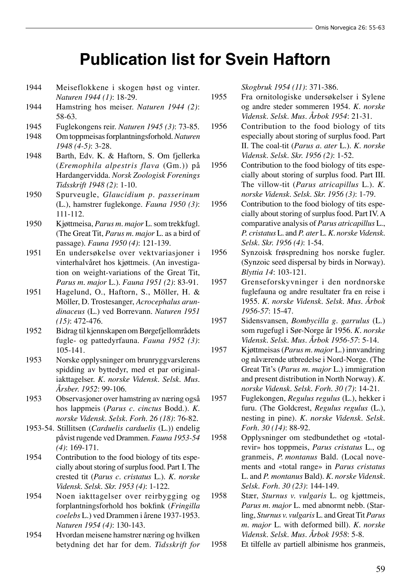## **Publication list for Svein Haftorn**

- 1944 Meiseflokkene i skogen høst og vinter. *Naturen 1944 (1)*: 18-29.
- 1944 Hamstring hos meiser. *Naturen 1944 (2)*: 58-63.
- 1945 Fuglekongens reir. *Naturen 1945 (3)*: 73-85.
- 1948 Om toppmeisas forplantningsforhold. *Naturen 1948 (4-5)*: 3-28.
- 1948 Barth, Edv. K. & Haftorn, S. Om fjellerka (*Eremophila alpestris flava* (Gm.)) på Hardangervidda. *Norsk Zoologisk Forenings Tidsskrift 1948 (2)*: 1-10.
- 1950 Spurveugle, *Glaucidium p. passerinum* (L.), hamstrer fuglekonge. *Fauna 1950 (3)*: 111-112.
- 1950 Kjøttmeisa, *Parus m. major* L. som trekkfugl. (The Great Tit, *Parus m. major* L. as a bird of passage). *Fauna 1950 (4)*: 121-139.
- 1951 En undersøkelse over vektvariasjoner i vinterhalvåret hos kjøttmeis. (An investigation on weight-variations of the Great Tit, *Parus m. major* L.). *Fauna 1951 (2)*: 83-91.
- 1951 Hagelund, O., Haftorn, S., Möller, H. & Möller, D. Trostesanger, *Acrocephalus arundinaceus* (L.) ved Borrevann. *Naturen 1951 (15)*: 472-476.
- 1952 Bidrag til kjennskapen om Børgefjellområdets fugle- og pattedyrfauna. *Fauna 1952 (3)*: 105-141.
- 1953 Norske opplysninger om brunryggvarslerens spidding av byttedyr, med et par originaliakttagelser. *K. norske Vidensk. Selsk. Mus. Årsber. 1952*: 99-106.
- 1953 Observasjoner over hamstring av næring også hos lappmeis (*Parus c. cinctus* Bodd.). *K. norske Vidensk. Selsk. Forh. 26 (18)*: 76-82.
- 1953-54. Stillitsen (*Carduelis carduelis* (L.)) endelig påvist rugende ved Drammen. *Fauna 1953-54 (4)*: 169-171.
- 1954 Contribution to the food biology of tits especially about storing of surplus food. Part I. The crested tit (*Parus c. cristatus* L.). *K. norske Vidensk. Selsk. Skr. 1953 (4)*: 1-122.
- 1954 Noen iakttagelser over reirbygging og forplantningsforhold hos bokfink (*Fringilla coelebs* L.) ved Drammen i årene 1937-1953. *Naturen 1954 (4)*: 130-143.
- 1954 Hvordan meisene hamstrer næring og hvilken betydning det har for dem. *Tidsskrift for*

*Skogbruk 1954 (11)*: 371-386.

- 1955 Fra ornitologiske undersøkelser i Sylene og andre steder sommeren 1954. *K. norske Vidensk. Selsk. Mus. Årbok 1954*: 21-31.
- 1956 Contribution to the food biology of tits especially about storing of surplus food. Part II. The coal-tit (*Parus a. ater* L.). *K. norske Vidensk. Selsk. Skr. 1956 (2)*: 1-52.
- 1956 Contribution to the food biology of tits especially about storing of surplus food. Part III. The villow-tit (*Parus atricapillus* L.). *K. norske Vidensk. Selsk. Skr. 1956 (3)*: 1-79.
- 1956 Contribution to the food biology of tits especially about storing of surplus food. Part IV. A comparative analysis of *Parus atricapillus* L., *P. cristatus* L. and *P. ater* L. *K. norske Vidensk. Selsk. Skr. 1956 (4)*: 1-54.
- 1956 Synzoisk frøspredning hos norske fugler. (Synzoic seed dispersal by birds in Norway). *Blyttia 14*: 103-121.
- 1957 Grenseforskyvninger i den nordnorske fuglefauna og andre resultater fra en reise i 1955. *K. norske Vidensk. Selsk. Mus. Årbok 1956-57*: 15-47.
- 1957 Sidensvansen, *Bombycilla g. garrulus* (L.) som rugefugl i Sør-Norge år 1956. *K. norske Vidensk. Selsk. Mus. Årbok 1956-57*: 5-14.
- 1957 Kjøttmeisas (*Parus m. major* L.) innvandring og nåværende utbredelse i Nord-Norge. (The Great Tit's (*Parus m. major* L.) immigration and present distribution in North Norway). *K. norske Vidensk. Selsk. Forh. 30 (7)*: 14-21.
- 1957 Fuglekongen, *Regulus regulus* (L.), hekker i furu. (The Goldcrest, *Regulus regulus* (L.), nesting in pine). *K. norske Vidensk. Selsk. Forh. 30 (14)*: 88-92.
- 1958 Opplysninger om stedbundethet og «totalrevir» hos toppmeis, *Parus cristatus* L., og granmeis, *P. montanus* Bald. (Local novements and «total range» in *Parus cristatus* L. and *P. montanus* Bald). *K. norske Vidensk. Selsk. Forh. 30 (23)*: 144-149.
- 1958 Stær, *Sturnus v. vulgaris* L. og kjøttmeis, *Parus m. major* L. med abnormt nebb. (Starling, *Sturnus v. vulgaris* L. and Great Tit *Parus m. major* L. with deformed bill). *K. norske Vidensk. Selsk. Mus. Årbok 1958*: 5-8.
- 1958 Et tilfelle av partiell albinisme hos granmeis,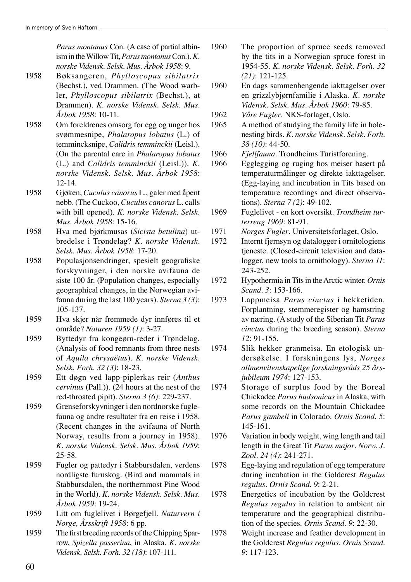*Parus montanus* Con. (A case of partial albinism in the Willow Tit, *Parus montanus* Con.). *K. norske Vidensk. Selsk. Mus. Årbok 1958*: 9.

- 1958 Bøksangeren, *Phylloscopus sibilatrix* (Bechst.), ved Drammen. (The Wood warbler, *Phylloscopus sibilatrix* (Bechst.), at Drammen). *K. norske Vidensk. Selsk. Mus. Årbok 1958*: 10-11.
- 1958 Om foreldrenes omsorg for egg og unger hos svømmesnipe, *Phalaropus lobatus* (L.) of temmincksnipe, *Calidris temminckii* (Leisl.). (On the parental care in *Phalaropus lobatus* (L.) and *Calidris temminckii* (Leisl.)). *K. norske Vidensk. Selsk. Mus. Årbok 1958*: 12-14.
- 1958 Gjøken, *Cuculus canorus* L., galer med åpent nebb. (The Cuckoo, *Cuculus canorus* L. calls with bill opened). *K. norske Vidensk. Selsk. Mus. Årbok 1958*: 15-16.
- 1958 Hva med bjørkmusas (*Sicista betulina*) utbredelse i Trøndelag? *K. norske Vidensk. Selsk. Mus. Årbok 1958*: 17-20.
- 1958 Populasjonsendringer, spesielt geografiske forskyvninger, i den norske avifauna de siste 100 år. (Population changes, especially geographical changes, in the Norwegian avifauna during the last 100 years). *Sterna 3 (3)*: 105-137.
- 1959 Hva skjer når fremmede dyr innføres til et område? *Naturen 1959 (1)*: 3-27.
- 1959 Byttedyr fra kongeørn-reder i Trøndelag. (Analysis of food remnants from three nests of *Aquila chrysaëtus*). *K. norske Vidensk. Selsk. Forh. 32 (3)*: 18-23.
- 1959 Ett døgn ved lapp-piplerkas reir (*Anthus cervinus* (Pall.)). (24 hours at the nest of the red-throated pipit). *Sterna 3 (6)*: 229-237.
- 1959 Grenseforskyvninger i den nordnorske fuglefauna og andre resultater fra en reise i 1958. (Recent changes in the avifauna of North Norway, results from a journey in 1958). *K. norske Vidensk. Selsk. Mus. Årbok 1959*: 25-58.
- 1959 Fugler og pattedyr i Stabbursdalen, verdens nordligste furuskog. (Bird and mammals in Stabbursdalen, the northernmost Pine Wood in the World). *K. norske Vidensk. Selsk. Mus. Årbok 1959*: 19-24.
- 1959 Litt om fuglelivet i Børgefjell. *Naturvern i Norge, Årsskrift 1958*: 6 pp.
- 1959 The first breeding records of the Chipping Sparrow, *Spizella passerina*, in Alaska. *K. norske Vidensk. Selsk. Forh. 32 (18)*: 107-111.
- 1960 The proportion of spruce seeds removed by the tits in a Norwegian spruce forest in 1954-55. *K. norske Vidensk. Selsk. Forh. 32 (21)*: 121-125.
- 1960 En dags sammenhengende iakttagelser over en grizzlybjørnfamilie i Alaska. *K. norske Vidensk. Selsk. Mus. Årbok 1960*: 79-85.
- 1962 *Våre Fugler*. NKS-forlaget, Oslo.
- 1965 A method of studying the family life in holenesting birds. *K. norske Vidensk. Selsk. Forh. 38 (10)*: 44-50.
- 1966 *Fjellfauna*. Trondheims Turistforening.
- 1966 Egglegging og ruging hos meiser basert på temperaturmålinger og direkte iakttagelser. (Egg-laying and incubation in Tits based on temperature recordings and direct observations). *Sterna 7 (2)*: 49-102.
- 1969 Fuglelivet en kort oversikt. *Trondheim turterreng 1969*: 81-91.
- 1971 *Norges Fugler*. Universitetsforlaget, Oslo.
- 1972 Internt fjernsyn og datalogger i ornitologiens tjeneste. (Closed-circuit television and datalogger, new tools to ornithology). *Sterna 11*: 243-252.
- 1972 Hypothermia in Tits in the Arctic winter. *Ornis Scand. 3*: 153-166.
- 1973 Lappmeisa *Parus cinctus* i hekketiden. Forplantning, stemmeregister og hamstring av næring. (A study of the Siberian Tit *Parus cinctus* during the breeding season). *Sterna 12*: 91-155.
- 1974 Slik hekker granmeisa. En etologisk undersøkelse. I forskningens lys, *Norges allmenvitenskapelige forskningsråds 25 årsjubileum 1974*: 127-153.
- 1974 Storage of surplus food by the Boreal Chickadee *Parus hudsonicus* in Alaska, with some records on the Mountain Chickadee *Parus gambeli* in Colorado. *Ornis Scand. 5*: 145-161.
- 1976 Variation in body weight, wing length and tail length in the Great Tit *Parus major*. *Norw. J. Zool. 24 (4)*: 241-271.
- 1978 Egg-laying and regulation of egg temperature during incubation in the Goldcrest *Regulus regulus*. *Ornis Scand. 9*: 2-21.
- 1978 Energetics of incubation by the Goldcrest *Regulus regulus* in relation to ambient air temperature and the geographical distribution of the species. *Ornis Scand. 9*: 22-30.
- 1978 Weight increase and feather development in the Goldcrest *Regulus regulus*. *Ornis Scand. 9*: 117-123.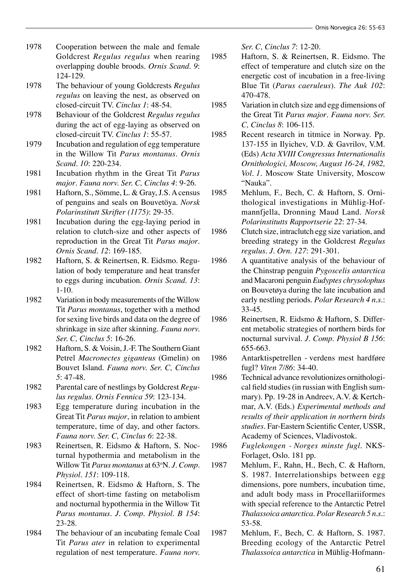- 1978 Cooperation between the male and female Goldcrest *Regulus regulus* when rearing overlapping double broods. *Ornis Scand. 9*: 124-129.
- 1978 The behaviour of young Goldcrests *Regulus regulus* on leaving the nest, as observed on closed-circuit TV. *Cinclus 1*: 48-54.
- 1978 Behaviour of the Goldcrest *Regulus regulus* during the act of egg-laying as observed on closed-circuit TV. *Cinclus 1*: 55-57.
- 1979 Incubation and regulation of egg temperature in the Willow Tit *Parus montanus*. *Ornis Scand. 10*: 220-234.
- 1981 Incubation rhythm in the Great Tit *Parus major*. *Fauna norv. Ser. C, Cinclus 4*: 9-26.
- 1981 Haftorn, S., Sömme, L. & Gray, J.S. A census of penguins and seals on Bouvetöya. *Norsk Polarinstitutt Skrifter (1175)*: 29-35.
- 1981 Incubation during the egg-laying period in relation to clutch-size and other aspects of reproduction in the Great Tit *Parus major*. *Ornis Scand. 12*: 169-185.
- 1982 Haftorn, S. & Reinertsen, R. Eidsmo. Regulation of body temperature and heat transfer to eggs during incubation. *Ornis Scand. 13*: 1-10.
- 1982 Variation in body measurements of the Willow Tit *Parus montanus*, together with a method for sexing live birds and data on the degree of shrinkage in size after skinning. *Fauna norv. Ser. C, Cinclus 5*: 16-26.
- 1982 Haftorn, S. & Voisin, J.-F. The Southern Giant Petrel *Macronectes giganteus* (Gmelin) on Bouvet Island. *Fauna norv. Ser. C, Cinclus 5*: 47-48.
- 1982 Parental care of nestlings by Goldcrest *Regulus regulus*. *Ornis Fennica 59*: 123-134.
- 1983 Egg temperature during incubation in the Great Tit *Parus major*, in relation to ambient temperature, time of day, and other factors. *Fauna norv. Ser. C, Cinclus 6*: 22-38.
- 1983 Reinertsen, R. Eidsmo & Haftorn, S. Nocturnal hypothermia and metabolism in the Willow Tit *Parus montanus* at 63o N. *J. Comp. Physiol. 151*: 109-118.
- 1984 Reinertsen, R. Eidsmo & Haftorn, S. The effect of short-time fasting on metabolism and nocturnal hypothermia in the Willow Tit *Parus montanus*. *J. Comp. Physiol. B 154*: 23-28.
- 1984 The behaviour of an incubating female Coal Tit *Parus ater* in relation to experimental regulation of nest temperature. *Fauna norv.*

*Ser. C, Cinclus 7*: 12-20.

- 1985 Haftorn, S. & Reinertsen, R. Eidsmo. The effect of temperature and clutch size on the energetic cost of incubation in a free-living Blue Tit (*Parus caeruleus*). *The Auk 102*: 470-478.
- 1985 Variation in clutch size and egg dimensions of the Great Tit *Parus major*. *Fauna norv. Ser. C, Cinclus 8*: 106-115.
- 1985 Recent research in titmice in Norway. Pp. 137-155 in Ilyichev, V.D. & Gavrilov, V.M. (Eds) *Acta XVIII Congressus Internationalis Ornithologici, Moscow, August 16-24, 1982, Vol. 1.* Moscow State University, Moscow "Nauka".
- 1985 Mehlum, F., Bech, C. & Haftorn, S. Ornithological investigations in Mühlig-Hofmannfjella, Dronning Maud Land. *Norsk Polarinstitutts Rapportserie 22*: 27-34.
- 1986 Clutch size, intraclutch egg size variation, and breeding strategy in the Goldcrest *Regulus regulus*. *J. Orn. 127*: 291-301.
- 1986 A quantitative analysis of the behaviour of the Chinstrap penguin *Pygoscelis antarctica* and Macaroni penguin *Eudyptes chrysolophus* on Bouvetøya during the late incubation and early nestling periods. *Polar Research 4 n.s*.: 33-45.
- 1986 Reinertsen, R. Eidsmo & Haftorn, S. Different metabolic strategies of northern birds for nocturnal survival. *J. Comp. Physiol B 156*: 655-663.
- 1986 Antarktispetrellen verdens mest hardføre fugl? *Viten 7/86*: 34-40.
- 1986 Technical advance revolutionizes ornithological field studies (in russian with English summary). Pp. 19-28 in Andreev, A.V. & Kertchmar, A.V. (Eds.) *Experimental methods and results of their application in northern birds studies*. Far-Eastern Scientific Center, USSR, Academy of Sciences, Vladivostok.
- 1986 *Fuglekongen Norges minste fugl*. NKS-Forlaget, Oslo. 181 pp.
- 1987 Mehlum, F., Rahn, H., Bech, C. & Haftorn, S. 1987. Interrelationships between egg dimensions, pore numbers, incubation time, and adult body mass in Procellariiformes with special reference to the Antarctic Petrel *Thalassoica antarctica*. *Polar Research 5 n.s*.: 53-58.
- 1987 Mehlum, F., Bech, C. & Haftorn, S. 1987. Breeding ecology of the Antarctic Petrel *Thalassoica antarctica* in Mühlig-Hofmann-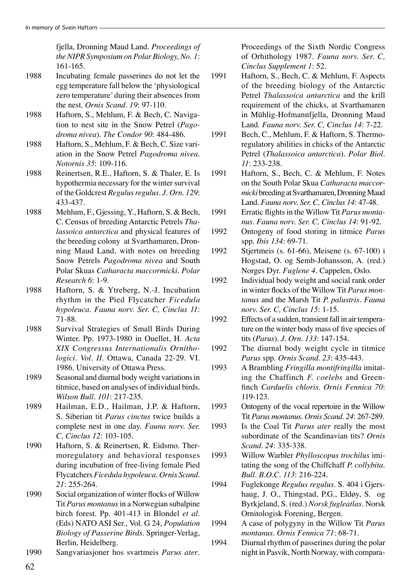fjella, Dronning Maud Land. *Proceedings of the NIPR Symposium on Polar Biology, No. 1*: 161-165.

- 1988 Incubating female passerines do not let the egg temperature fall below the 'physiological zero temperature' during their absences from the nest. *Ornis Scand. 19*: 97-110.
- 1988 Haftorn, S., Mehlum, F. & Bech, C. Navigation to nest site in the Snow Petrel (*Pagodroma nivea*). *The Condor 90*: 484-486.
- 1988 Haftorn, S., Mehlum, F. & Bech, C. Size variation in the Snow Petrel *Pagodroma nivea*. *Notornis 35*: 109-116.
- 1988 Reinertsen, R.E., Haftorn, S. & Thaler, E. Is hypothermia necessary for the winter survival of the Goldcrest *Regulus regulus*. *J. Orn. 129*: 433-437.
- 1988 Mehlum, F., Gjessing, Y., Haftorn, S. & Bech, C. Census of breeding Antarctic Petrels *Thalassoica antarctica* and physical features of the breeding colony at Svarthamaren, Dronning Maud Land, with notes on breeding Snow Petrels *Pagodroma nivea* and South Polar Skuas *Catharacta maccormicki*. *Polar Research 6*: 1-9.
- 1988 Haftorn, S. & Ytreberg, N.-J. Incubation rhythm in the Pied Flycatcher *Ficedula hypoleuca*. *Fauna norv. Ser. C, Cinclus 11*: 71-88.
- 1988 Survival Strategies of Small Birds During Winter. Pp. 1973-1980 in Ouellet, H. *Acta XIX Congressus Internationalis Ornithologici. Vol. II.* Ottawa, Canada 22-29. VI. 1986. University of Ottawa Press.
- 1989 Seasonal and diurnal body weight variations in titmice, based on analyses of individual birds. *Wilson Bull. 101*: 217-235.
- 1989 Hailman, E.D., Hailman, J.P. & Haftorn, S. Siberian tit *Parus cinctus* twice builds a complete nest in one day. *Fauna norv. Ser. C, Cinclus 12*: 103-105.
- 1990 Haftorn, S. & Reinertsen, R. Eidsmo. Thermoregulatory and behavioral responses during incubation of free-living female Pied Flycatchers *Ficedula hypoleuca*. *Ornis Scand. 21*: 255-264.
- 1990 Social organization of winter flocks of Willow Tit *Parus montanus* in a Norwegian subalpine birch forest. Pp. 401-413 in Blondel *et al*. (Eds) NATO ASI Ser., Vol. G 24, *Population Biology of Passerine Birds*. Springer-Verlag, Berlin, Heidelberg.
- 1990 Sangvariasjoner hos svartmeis *Parus ater*.

Proceedings of the Sixth Nordic Congress of Orhithology 1987. *Fauna norv. Ser. C, Cinclus Supplement 1*: 52.

- 1991 Haftorn, S., Bech, C. & Mehlum, F. Aspects of the breeding biology of the Antarctic Petrel *Thalassoica antarctica* and the krill requirement of the chicks, at Svarthamaren in Mühlig-Hofmannfjella, Dronning Maud Land. *Fauna norv. Ser. C, Cinclus 14*: 7-22.
- 1991 Bech, C., Mehlum, F. & Haftorn, S. Thermoregulatory abilities in chicks of the Antarctic Petrel (*Thalassoica antarctica*). *Polar Biol. 11*: 233-238.
- 1991 Haftorn, S., Bech, C. & Mehlum, F. Notes on the South Polar Skua *Catharacta maccormicki* breeding at Svarthamaren, Dronning Maud Land. *Fauna norv. Ser. C, Cinclus 14*: 47-48.
- 1991 Erratic flights in the Willow Tit *Parus montanus*. *Fauna norv. Ser. C, Cinclus 14*: 91-92.
- 1992 Ontogeny of food storing in titmice *Parus* spp. *Ibis 134*: 69-71.
- 1992 Stjertmeis (s. 61-66), Meisene (s. 67-100) i Hogstad, O. og Semb-Johansson, A. (red.) Norges Dyr. *Fuglene 4*. Cappelen, Oslo.
- 1992 Individual body weight and social rank order in winter flocks of the Willow Tit *Parus montanus* and the Marsh Tit *P. palustris*. *Fauna norv. Ser. C, Cinclus 15*: 1-15.
- 1992 Effects of a sudden, transient fall in air temperature on the winter body mass of five species of tits (*Parus*). *J. Orn. 133*: 147-154.
- 1992 The diurnal body weight cycle in titmice *Parus* spp. *Ornis Scand. 23*: 435-443.
- 1993 A Brambling *Fringilla montifringilla* imitating the Chaffinch *F. coelebs* and Greenfinch *Carduelis chloris*. *Ornis Fennica 70*: 119-123.
- 1993 Ontogeny of the vocal repertoire in the Willow Tit *Parus montanus*. *Ornis Scand. 24*: 267-289.
- 1993 Is the Coal Tit *Parus ater* really the most subordinate of the Scandinavian tits? *Ornis Scand. 24*: 335-338.
- 1993 Willow Warbler *Phylloscopus trochilus* imitating the song of the Chiffchaff *P. collybita*. *Bull. B.O.C. 113*: 216-224.
- 1994 Fuglekonge *Regulus regulus*. S. 404 i Gjershaug, J. O., Thingstad, P.G., Eldøy, S. og Byrkjeland, S. (red.) *Norsk fugleatlas*. Norsk Ornitologisk Forening, Bergen.
- 1994 A case of polygyny in the Willow Tit *Parus montanus*. *Ornis Fennica 71*: 68-71.
- 1994 Diurnal rhythm of passerines during the polar night in Pasvik, North Norway, with compara-

62